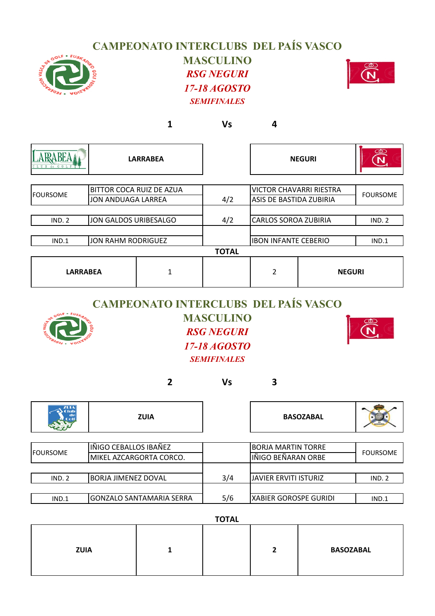## **CAMPEONATO INTERCLUBS DEL PAÍS VASCO**



#### **MASCULINO** *RSG NEGURI 17-18 AGOSTO SEMIFINALES*



|                       |                                                |                 | <b>Vs</b>    | 4                                                         |               |                           |
|-----------------------|------------------------------------------------|-----------------|--------------|-----------------------------------------------------------|---------------|---------------------------|
| $G \cap I$<br>CLUB de |                                                | <b>LARRABEA</b> |              | <b>NEGURI</b>                                             |               | $\mathbb{Z}^{\mathbb{B}}$ |
|                       |                                                |                 |              |                                                           |               |                           |
| <b>FOURSOME</b>       | BITTOR COCA RUIZ DE AZUA<br>JON ANDUAGA LARREA |                 | 4/2          | <b>VICTOR CHAVARRI RIESTRA</b><br>ASIS DE BASTIDA ZUBIRIA |               | <b>FOURSOME</b>           |
|                       |                                                |                 |              |                                                           |               |                           |
| <b>IND. 2</b>         | JON GALDOS URIBESALGO                          |                 | 4/2          | <b>CARLOS SOROA ZUBIRIA</b>                               |               | IND. 2                    |
|                       |                                                |                 |              |                                                           |               |                           |
| IND.1                 | JON RAHM RODRIGUEZ                             |                 |              | <b>IBON INFANTE CEBERIO</b>                               |               | IND.1                     |
|                       |                                                |                 | <b>TOTAL</b> |                                                           |               |                           |
| <b>LARRABEA</b>       |                                                | 1               |              | 2                                                         | <b>NEGURI</b> |                           |

## **CAMPEONATO INTERCLUBS DEL PAÍS VASCO**



### **MASCULINO** *RSG NEGURI 17-18 AGOSTO SEMIFINALES*



**2 Vs 3**

| <b>ZUIA</b><br>Club | <b>ZUIA</b>                     |     | <b>BASOZABAL</b>          |                 |  |
|---------------------|---------------------------------|-----|---------------------------|-----------------|--|
|                     |                                 |     |                           |                 |  |
|                     | IÑIGO CEBALLOS IBAÑEZ           |     | <b>BORJA MARTIN TORRE</b> | <b>FOURSOME</b> |  |
| <b>IFOURSOME</b>    | MIKEL AZCARGORTA CORCO.         |     | IÑIGO BEÑARAN ORBE        |                 |  |
|                     |                                 |     |                           |                 |  |
| IND. 2              | <b>BORJA JIMENEZ DOVAL</b>      | 3/4 | JJAVIER ERVITI ISTURIZ    | IND. 2          |  |
|                     |                                 |     |                           |                 |  |
| IND.1               | <b>GONZALO SANTAMARIA SERRA</b> | 5/6 | XABIER GOROSPE GURIDI     | IND.1           |  |

**TOTAL**

| <b>ZUIA</b> |  |  |  | <b>BASOZABAL</b> |
|-------------|--|--|--|------------------|
|-------------|--|--|--|------------------|